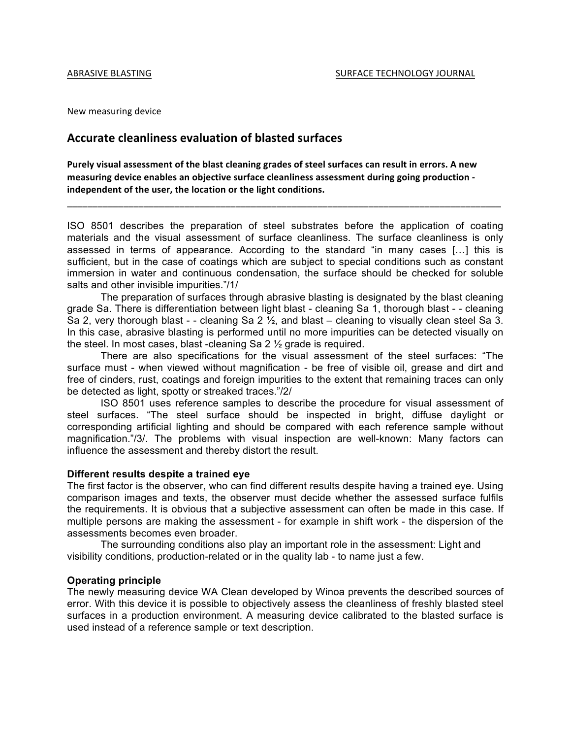New measuring device

# **Accurate cleanliness evaluation of blasted surfaces**

Purely visual assessment of the blast cleaning grades of steel surfaces can result in errors. A new measuring device enables an objective surface cleanliness assessment during going production independent of the user, the location or the light conditions.

ISO 8501 describes the preparation of steel substrates before the application of coating materials and the visual assessment of surface cleanliness. The surface cleanliness is only assessed in terms of appearance. According to the standard "in many cases […] this is sufficient, but in the case of coatings which are subject to special conditions such as constant immersion in water and continuous condensation, the surface should be checked for soluble salts and other invisible impurities."/1/

\_\_\_\_\_\_\_\_\_\_\_\_\_\_\_\_\_\_\_\_\_\_\_\_\_\_\_\_\_\_\_\_\_\_\_\_\_\_\_\_\_\_\_\_\_\_\_\_\_\_\_\_\_\_\_\_\_\_\_\_\_\_\_\_\_\_\_\_\_\_\_\_\_\_\_\_\_\_\_\_\_\_\_\_\_

The preparation of surfaces through abrasive blasting is designated by the blast cleaning grade Sa. There is differentiation between light blast - cleaning Sa 1, thorough blast - - cleaning Sa 2, very thorough blast - - cleaning Sa 2  $\frac{1}{2}$ , and blast – cleaning to visually clean steel Sa 3. In this case, abrasive blasting is performed until no more impurities can be detected visually on the steel. In most cases, blast -cleaning Sa 2 ½ grade is required.

There are also specifications for the visual assessment of the steel surfaces: "The surface must - when viewed without magnification - be free of visible oil, grease and dirt and free of cinders, rust, coatings and foreign impurities to the extent that remaining traces can only be detected as light, spotty or streaked traces."/2/

ISO 8501 uses reference samples to describe the procedure for visual assessment of steel surfaces. "The steel surface should be inspected in bright, diffuse daylight or corresponding artificial lighting and should be compared with each reference sample without magnification."/3/. The problems with visual inspection are well-known: Many factors can influence the assessment and thereby distort the result.

#### **Different results despite a trained eye**

The first factor is the observer, who can find different results despite having a trained eye. Using comparison images and texts, the observer must decide whether the assessed surface fulfils the requirements. It is obvious that a subjective assessment can often be made in this case. If multiple persons are making the assessment - for example in shift work - the dispersion of the assessments becomes even broader.

The surrounding conditions also play an important role in the assessment: Light and visibility conditions, production-related or in the quality lab - to name just a few.

### **Operating principle**

The newly measuring device WA Clean developed by Winoa prevents the described sources of error. With this device it is possible to objectively assess the cleanliness of freshly blasted steel surfaces in a production environment. A measuring device calibrated to the blasted surface is used instead of a reference sample or text description.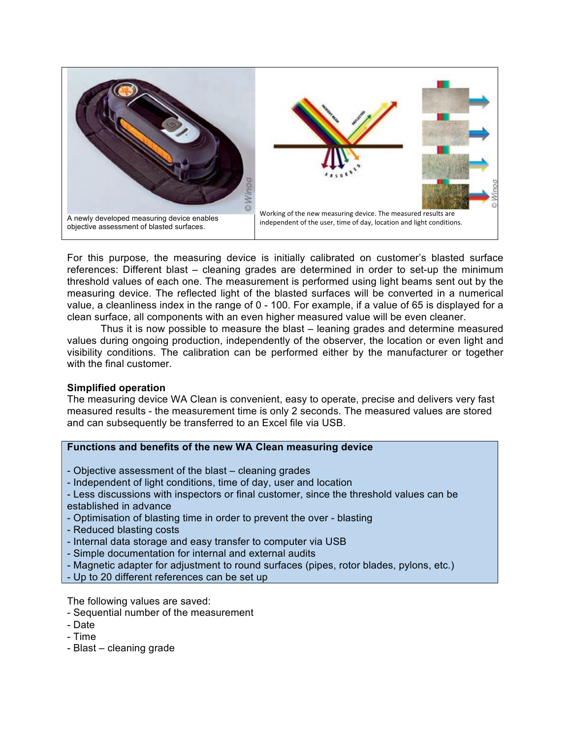

For this purpose, the measuring device is initially calibrated on customer's blasted surface references: Different blast – cleaning grades are determined in order to set-up the minimum threshold values of each one. The measurement is performed using light beams sent out by the measuring device. The reflected light of the blasted surfaces will be converted in a numerical value, a cleanliness index in the range of 0 - 100. For example, if a value of 65 is displayed for a clean surface, all components with an even higher measured value will be even cleaner.

Thus it is now possible to measure the blast – leaning grades and determine measured values during ongoing production, independently of the observer, the location or even light and visibility conditions. The calibration can be performed either by the manufacturer or together with the final customer.

# **Simplified operation**

The measuring device WA Clean is convenient, easy to operate, precise and delivers very fast measured results - the measurement time is only 2 seconds. The measured values are stored and can subsequently be transferred to an Excel file via USB.

# **Functions and benefits of the new WA Clean measuring device**

- Objective assessment of the blast cleaning grades
- Independent of light conditions, time of day, user and location
- Less discussions with inspectors or final customer, since the threshold values can be
- established in advance
- Optimisation of blasting time in order to prevent the over blasting
- Reduced blasting costs
- Internal data storage and easy transfer to computer via USB
- Simple documentation for internal and external audits
- Magnetic adapter for adjustment to round surfaces (pipes, rotor blades, pylons, etc.)
- Up to 20 different references can be set up

The following values are saved:

- Sequential number of the measurement
- Date
- Time
- Blast cleaning grade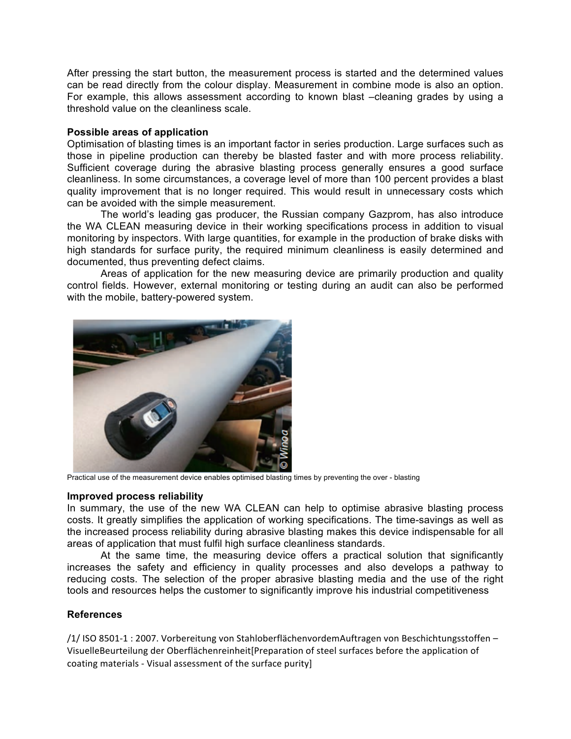After pressing the start button, the measurement process is started and the determined values can be read directly from the colour display. Measurement in combine mode is also an option. For example, this allows assessment according to known blast –cleaning grades by using a threshold value on the cleanliness scale.

### **Possible areas of application**

Optimisation of blasting times is an important factor in series production. Large surfaces such as those in pipeline production can thereby be blasted faster and with more process reliability. Sufficient coverage during the abrasive blasting process generally ensures a good surface cleanliness. In some circumstances, a coverage level of more than 100 percent provides a blast quality improvement that is no longer required. This would result in unnecessary costs which can be avoided with the simple measurement.

The world's leading gas producer, the Russian company Gazprom, has also introduce the WA CLEAN measuring device in their working specifications process in addition to visual monitoring by inspectors. With large quantities, for example in the production of brake disks with high standards for surface purity, the required minimum cleanliness is easily determined and documented, thus preventing defect claims.

Areas of application for the new measuring device are primarily production and quality control fields. However, external monitoring or testing during an audit can also be performed with the mobile, battery-powered system.



Practical use of the measurement device enables optimised blasting times by preventing the over - blasting

#### **Improved process reliability**

In summary, the use of the new WA CLEAN can help to optimise abrasive blasting process costs. It greatly simplifies the application of working specifications. The time-savings as well as the increased process reliability during abrasive blasting makes this device indispensable for all areas of application that must fulfil high surface cleanliness standards.

At the same time, the measuring device offers a practical solution that significantly increases the safety and efficiency in quality processes and also develops a pathway to reducing costs. The selection of the proper abrasive blasting media and the use of the right tools and resources helps the customer to significantly improve his industrial competitiveness

# **References**

/1/ISO 8501-1:2007. Vorbereitung von StahloberflächenvordemAuftragen von Beschichtungsstoffen – VisuelleBeurteilung der Oberflächenreinheit[Preparation of steel surfaces before the application of coating materials - Visual assessment of the surface purity]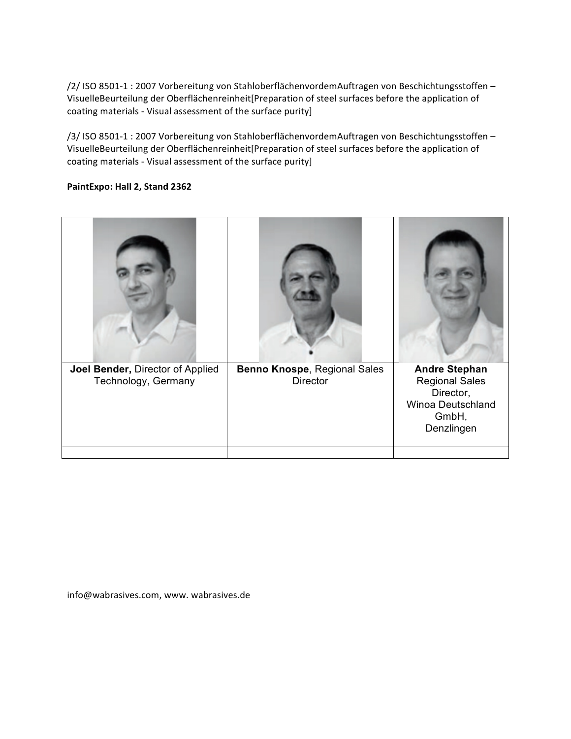/2/ISO 8501-1:2007 Vorbereitung von StahloberflächenvordemAuftragen von Beschichtungsstoffen-VisuelleBeurteilung der Oberflächenreinheit[Preparation of steel surfaces before the application of coating materials - Visual assessment of the surface purity]

/3/ISO 8501-1:2007 Vorbereitung von StahloberflächenvordemAuftragen von Beschichtungsstoffen-VisuelleBeurteilung der Oberflächenreinheit[Preparation of steel surfaces before the application of coating materials - Visual assessment of the surface purity]

# PaintExpo: Hall 2, Stand 2362

| Joel Bender, Director of Applied | Benno Knospe, Regional Sales | <b>Andre Stephan</b>  |
|----------------------------------|------------------------------|-----------------------|
| Technology, Germany              | Director                     | <b>Regional Sales</b> |
|                                  |                              | Director,             |
|                                  |                              | Winoa Deutschland     |
|                                  |                              | GmbH,<br>Denzlingen   |
|                                  |                              |                       |
|                                  |                              |                       |

info@wabrasives.com, www. wabrasives.de